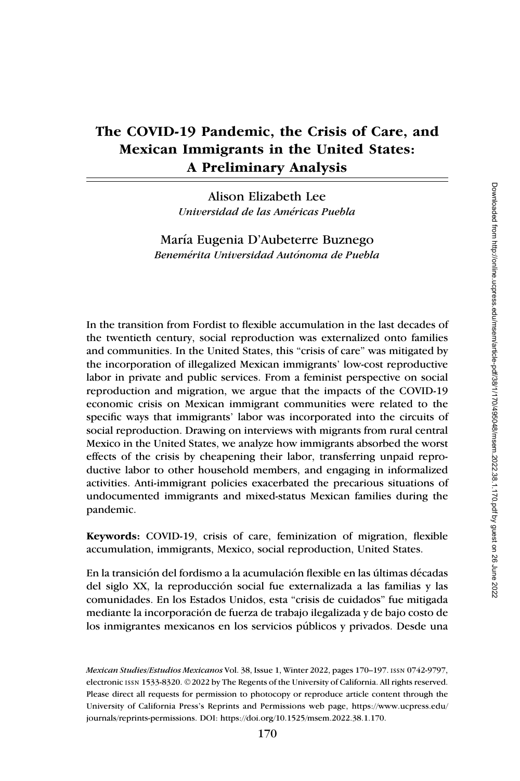# The COVID-19 Pandemic, the Crisis of Care, and Mexican Immigrants in the United States: A Preliminary Analysis

Alison Elizabeth Lee Universidad de las Américas Puebla

María Eugenia D'Aubeterre Buznego Benemérita Universidad Autónoma de Puebla

In the transition from Fordist to flexible accumulation in the last decades of the twentieth century, social reproduction was externalized onto families and communities. In the United States, this "crisis of care" was mitigated by the incorporation of illegalized Mexican immigrants' low-cost reproductive labor in private and public services. From a feminist perspective on social reproduction and migration, we argue that the impacts of the COVID-19 economic crisis on Mexican immigrant communities were related to the specific ways that immigrants' labor was incorporated into the circuits of social reproduction. Drawing on interviews with migrants from rural central Mexico in the United States, we analyze how immigrants absorbed the worst effects of the crisis by cheapening their labor, transferring unpaid reproductive labor to other household members, and engaging in informalized activities. Anti-immigrant policies exacerbated the precarious situations of undocumented immigrants and mixed-status Mexican families during the pandemic.

Keywords: COVID-19, crisis of care, feminization of migration, flexible accumulation, immigrants, Mexico, social reproduction, United States.

En la transición del fordismo a la acumulación flexible en las últimas décadas del siglo XX, la reproduccion social fue externalizada a las familias y las ´ comunidades. En los Estados Unidos, esta "crisis de cuidados" fue mitigada mediante la incorporacion de fuerza de trabajo ilegalizada y de bajo costo de ´ los inmigrantes mexicanos en los servicios publicos y privados. Desde una ´

Mexican Studies/Estudios Mexicanos Vol. 38, Issue 1, Winter 2022, pages 170–197. issn 0742-9797, electronic issn 1533-8320. ©2022 by The Regents of the University of California. All rights reserved. Please direct all requests for permission to photocopy or reproduce article content through the University of California Press's Reprints and Permissions web page, [https://www.ucpress.edu/](https://www.ucpress.edu/journals/reprints-permissions) [journals/reprints-permissions.](https://www.ucpress.edu/journals/reprints-permissions) [DOI: https://doi.org/10.1525/msem.2022.38.1.170.](https://doi.org/10.1525/msem.2022.38.1.170)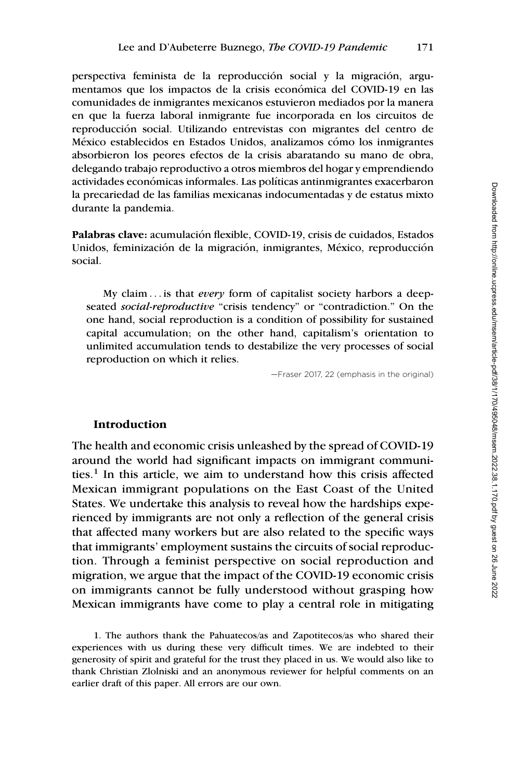perspectiva feminista de la reproducción social y la migración, argumentamos que los impactos de la crisis económica del COVID-19 en las comunidades de inmigrantes mexicanos estuvieron mediados por la manera en que la fuerza laboral inmigrante fue incorporada en los circuitos de reproduccion social. Utilizando entrevistas con migrantes del centro de ´ México establecidos en Estados Unidos, analizamos cómo los inmigrantes absorbieron los peores efectos de la crisis abaratando su mano de obra, delegando trabajo reproductivo a otros miembros del hogar y emprendiendo actividades económicas informales. Las políticas antinmigrantes exacerbaron la precariedad de las familias mexicanas indocumentadas y de estatus mixto durante la pandemia.

Palabras clave: acumulación flexible, COVID-19, crisis de cuidados, Estados Unidos, feminización de la migración, inmigrantes, México, reproducción social.

My claim ... is that *every* form of capitalist society harbors a deepseated social-reproductive "crisis tendency" or "contradiction." On the one hand, social reproduction is a condition of possibility for sustained capital accumulation; on the other hand, capitalism's orientation to unlimited accumulation tends to destabilize the very processes of social reproduction on which it relies.

—Fraser 2017, 22 (emphasis in the original)

## Introduction

The health and economic crisis unleashed by the spread of COVID-19 around the world had significant impacts on immigrant communities.<sup>1</sup> In this article, we aim to understand how this crisis affected Mexican immigrant populations on the East Coast of the United States. We undertake this analysis to reveal how the hardships experienced by immigrants are not only a reflection of the general crisis that affected many workers but are also related to the specific ways that immigrants' employment sustains the circuits of social reproduction. Through a feminist perspective on social reproduction and migration, we argue that the impact of the COVID-19 economic crisis on immigrants cannot be fully understood without grasping how Mexican immigrants have come to play a central role in mitigating

1. The authors thank the Pahuatecos/as and Zapotitecos/as who shared their experiences with us during these very difficult times. We are indebted to their generosity of spirit and grateful for the trust they placed in us. We would also like to thank Christian Zlolniski and an anonymous reviewer for helpful comments on an earlier draft of this paper. All errors are our own.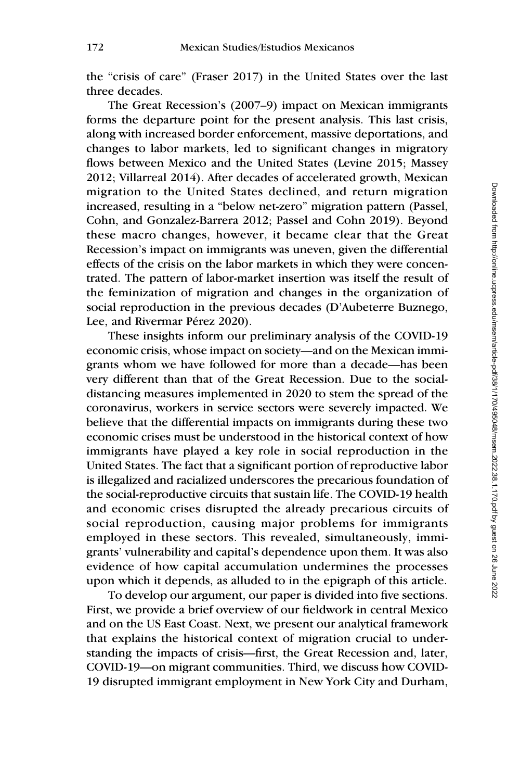the "crisis of care" (Fraser 2017) in the United States over the last three decades.

The Great Recession's (2007–9) impact on Mexican immigrants forms the departure point for the present analysis. This last crisis, along with increased border enforcement, massive deportations, and changes to labor markets, led to significant changes in migratory flows between Mexico and the United States (Levine 2015; Massey 2012; Villarreal 2014). After decades of accelerated growth, Mexican migration to the United States declined, and return migration increased, resulting in a "below net-zero" migration pattern (Passel, Cohn, and Gonzalez-Barrera 2012; Passel and Cohn 2019). Beyond these macro changes, however, it became clear that the Great Recession's impact on immigrants was uneven, given the differential effects of the crisis on the labor markets in which they were concentrated. The pattern of labor-market insertion was itself the result of the feminization of migration and changes in the organization of social reproduction in the previous decades (D'Aubeterre Buznego, Lee, and Rivermar Pérez 2020).

These insights inform our preliminary analysis of the COVID-19 economic crisis, whose impact on society—and on the Mexican immigrants whom we have followed for more than a decade—has been very different than that of the Great Recession. Due to the socialdistancing measures implemented in 2020 to stem the spread of the coronavirus, workers in service sectors were severely impacted. We believe that the differential impacts on immigrants during these two economic crises must be understood in the historical context of how immigrants have played a key role in social reproduction in the United States. The fact that a significant portion of reproductive labor is illegalized and racialized underscores the precarious foundation of the social-reproductive circuits that sustain life. The COVID-19 health and economic crises disrupted the already precarious circuits of social reproduction, causing major problems for immigrants employed in these sectors. This revealed, simultaneously, immigrants' vulnerability and capital's dependence upon them. It was also evidence of how capital accumulation undermines the processes upon which it depends, as alluded to in the epigraph of this article.

To develop our argument, our paper is divided into five sections. First, we provide a brief overview of our fieldwork in central Mexico and on the US East Coast. Next, we present our analytical framework that explains the historical context of migration crucial to understanding the impacts of crisis—first, the Great Recession and, later, COVID-19—on migrant communities. Third, we discuss how COVID-19 disrupted immigrant employment in New York City and Durham,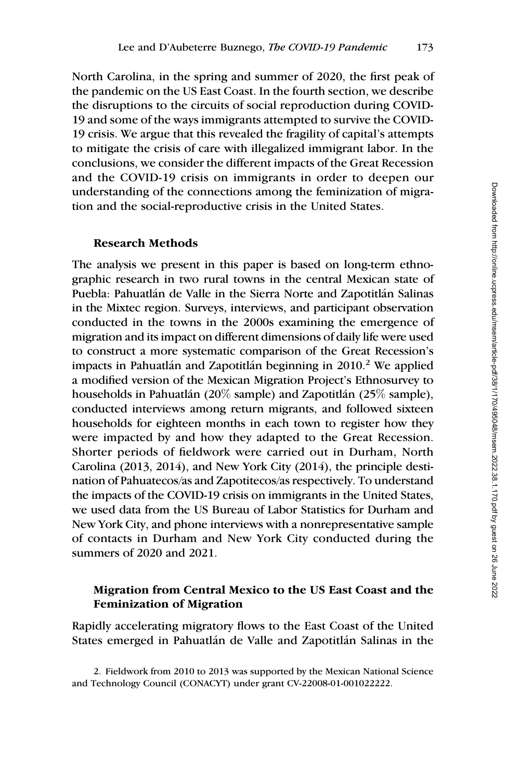North Carolina, in the spring and summer of 2020, the first peak of the pandemic on the US East Coast. In the fourth section, we describe the disruptions to the circuits of social reproduction during COVID-19 and some of the ways immigrants attempted to survive the COVID-19 crisis. We argue that this revealed the fragility of capital's attempts to mitigate the crisis of care with illegalized immigrant labor. In the conclusions, we consider the different impacts of the Great Recession and the COVID-19 crisis on immigrants in order to deepen our understanding of the connections among the feminization of migration and the social-reproductive crisis in the United States.

## Research Methods

The analysis we present in this paper is based on long-term ethnographic research in two rural towns in the central Mexican state of Puebla: Pahuatlán de Valle in the Sierra Norte and Zapotitlán Salinas in the Mixtec region. Surveys, interviews, and participant observation conducted in the towns in the 2000s examining the emergence of migration and its impact on different dimensions of daily life were used to construct a more systematic comparison of the Great Recession's impacts in Pahuatlán and Zapotitlán beginning in  $2010<sup>2</sup>$  We applied a modified version of the Mexican Migration Project's Ethnosurvey to households in Pahuatlán (20% sample) and Zapotitlán (25% sample), conducted interviews among return migrants, and followed sixteen households for eighteen months in each town to register how they were impacted by and how they adapted to the Great Recession. Shorter periods of fieldwork were carried out in Durham, North Carolina (2013, 2014), and New York City (2014), the principle destination of Pahuatecos/as and Zapotitecos/as respectively. To understand the impacts of the COVID-19 crisis on immigrants in the United States, we used data from the US Bureau of Labor Statistics for Durham and New York City, and phone interviews with a nonrepresentative sample of contacts in Durham and New York City conducted during the summers of 2020 and 2021.

# Migration from Central Mexico to the US East Coast and the Feminization of Migration

Rapidly accelerating migratory flows to the East Coast of the United States emerged in Pahuatlán de Valle and Zapotitlán Salinas in the

2. Fieldwork from 2010 to 2013 was supported by the Mexican National Science and Technology Council (CONACYT) under grant CV-22008-01-001022222.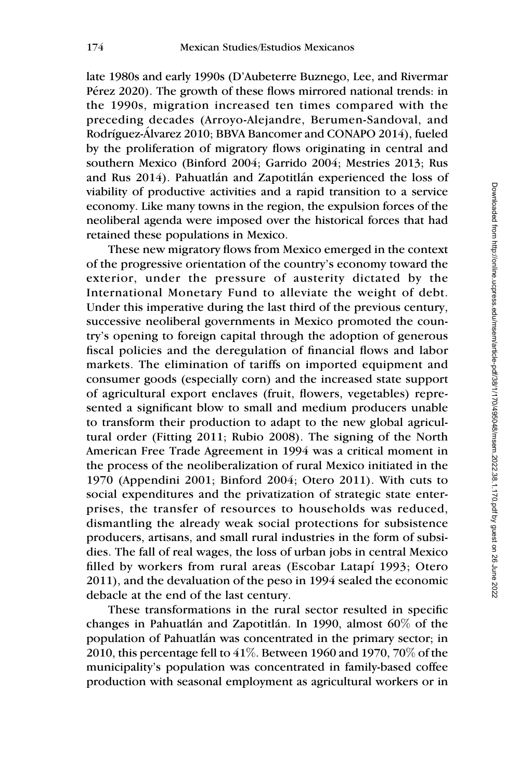late 1980s and early 1990s (D'Aubeterre Buznego, Lee, and Rivermar Pérez 2020). The growth of these flows mirrored national trends: in the 1990s, migration increased ten times compared with the preceding decades (Arroyo-Alejandre, Berumen-Sandoval, and Rodríguez-Álvarez 2010; BBVA Bancomer and CONAPO 2014), fueled by the proliferation of migratory flows originating in central and southern Mexico (Binford 2004; Garrido 2004; Mestries 2013; Rus and Rus 2014). Pahuatlán and Zapotitlán experienced the loss of viability of productive activities and a rapid transition to a service economy. Like many towns in the region, the expulsion forces of the neoliberal agenda were imposed over the historical forces that had retained these populations in Mexico.

These new migratory flows from Mexico emerged in the context of the progressive orientation of the country's economy toward the exterior, under the pressure of austerity dictated by the International Monetary Fund to alleviate the weight of debt. Under this imperative during the last third of the previous century, successive neoliberal governments in Mexico promoted the country's opening to foreign capital through the adoption of generous fiscal policies and the deregulation of financial flows and labor markets. The elimination of tariffs on imported equipment and consumer goods (especially corn) and the increased state support of agricultural export enclaves (fruit, flowers, vegetables) represented a significant blow to small and medium producers unable to transform their production to adapt to the new global agricultural order (Fitting 2011; Rubio 2008). The signing of the North American Free Trade Agreement in 1994 was a critical moment in the process of the neoliberalization of rural Mexico initiated in the 1970 (Appendini 2001; Binford 2004; Otero 2011). With cuts to social expenditures and the privatization of strategic state enterprises, the transfer of resources to households was reduced, dismantling the already weak social protections for subsistence producers, artisans, and small rural industries in the form of subsidies. The fall of real wages, the loss of urban jobs in central Mexico filled by workers from rural areas (Escobar Latapí 1993; Otero 2011), and the devaluation of the peso in 1994 sealed the economic debacle at the end of the last century.

These transformations in the rural sector resulted in specific changes in Pahuatlán and Zapotitlán. In 1990, almost  $60\%$  of the population of Pahuatl´an was concentrated in the primary sector; in 2010, this percentage fell to  $41\%$ . Between 1960 and 1970, 70% of the municipality's population was concentrated in family-based coffee production with seasonal employment as agricultural workers or in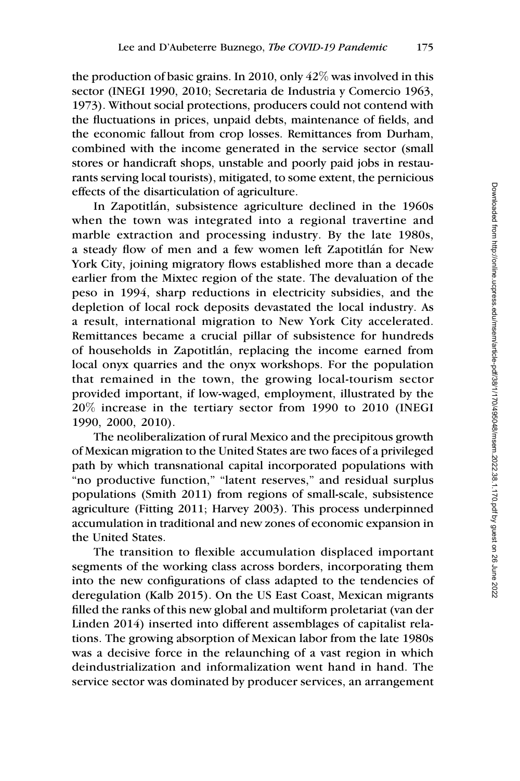the production of basic grains. In 2010, only  $42\%$  was involved in this sector (INEGI 1990, 2010; Secretaria de Industria y Comercio 1963, 1973). Without social protections, producers could not contend with the fluctuations in prices, unpaid debts, maintenance of fields, and the economic fallout from crop losses. Remittances from Durham, combined with the income generated in the service sector (small stores or handicraft shops, unstable and poorly paid jobs in restaurants serving local tourists), mitigated, to some extent, the pernicious effects of the disarticulation of agriculture.

In Zapotitlán, subsistence agriculture declined in the 1960s when the town was integrated into a regional travertine and marble extraction and processing industry. By the late 1980s, a steady flow of men and a few women left Zapotitlán for New York City, joining migratory flows established more than a decade earlier from the Mixtec region of the state. The devaluation of the peso in 1994, sharp reductions in electricity subsidies, and the depletion of local rock deposits devastated the local industry. As a result, international migration to New York City accelerated. Remittances became a crucial pillar of subsistence for hundreds of households in Zapotitl´an, replacing the income earned from local onyx quarries and the onyx workshops. For the population that remained in the town, the growing local-tourism sector provided important, if low-waged, employment, illustrated by the 20% increase in the tertiary sector from 1990 to 2010 (INEGI 1990, 2000, 2010).

The neoliberalization of rural Mexico and the precipitous growth of Mexican migration to the United States are two faces of a privileged path by which transnational capital incorporated populations with "no productive function," "latent reserves," and residual surplus populations (Smith 2011) from regions of small-scale, subsistence agriculture (Fitting 2011; Harvey 2003). This process underpinned accumulation in traditional and new zones of economic expansion in the United States.

The transition to flexible accumulation displaced important segments of the working class across borders, incorporating them into the new configurations of class adapted to the tendencies of deregulation (Kalb 2015). On the US East Coast, Mexican migrants filled the ranks of this new global and multiform proletariat (van der Linden 2014) inserted into different assemblages of capitalist relations. The growing absorption of Mexican labor from the late 1980s was a decisive force in the relaunching of a vast region in which deindustrialization and informalization went hand in hand. The service sector was dominated by producer services, an arrangement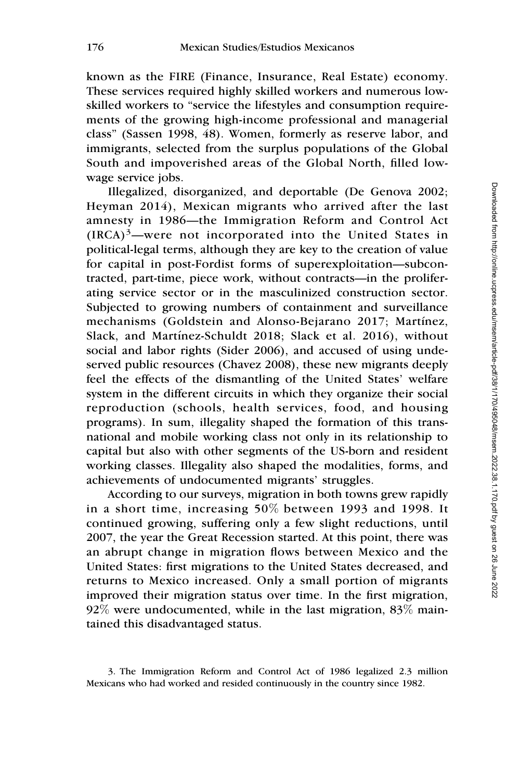known as the FIRE (Finance, Insurance, Real Estate) economy. These services required highly skilled workers and numerous lowskilled workers to "service the lifestyles and consumption requirements of the growing high-income professional and managerial class" (Sassen 1998, 48). Women, formerly as reserve labor, and immigrants, selected from the surplus populations of the Global South and impoverished areas of the Global North, filled lowwage service jobs.

Illegalized, disorganized, and deportable (De Genova 2002; Heyman 2014), Mexican migrants who arrived after the last amnesty in 1986—the Immigration Reform and Control Act  $(IRCA)^3$ —were not incorporated into the United States in political-legal terms, although they are key to the creation of value for capital in post-Fordist forms of superexploitation—subcontracted, part-time, piece work, without contracts—in the proliferating service sector or in the masculinized construction sector. Subjected to growing numbers of containment and surveillance mechanisms (Goldstein and Alonso-Bejarano 2017; Martínez, Slack, and Martínez-Schuldt 2018; Slack et al. 2016), without social and labor rights (Sider 2006), and accused of using undeserved public resources (Chavez 2008), these new migrants deeply feel the effects of the dismantling of the United States' welfare system in the different circuits in which they organize their social reproduction (schools, health services, food, and housing programs). In sum, illegality shaped the formation of this transnational and mobile working class not only in its relationship to capital but also with other segments of the US-born and resident working classes. Illegality also shaped the modalities, forms, and achievements of undocumented migrants' struggles.

According to our surveys, migration in both towns grew rapidly in a short time, increasing 50% between 1993 and 1998. It continued growing, suffering only a few slight reductions, until 2007, the year the Great Recession started. At this point, there was an abrupt change in migration flows between Mexico and the United States: first migrations to the United States decreased, and returns to Mexico increased. Only a small portion of migrants improved their migration status over time. In the first migration,  $92\%$  were undocumented, while in the last migration,  $83\%$  maintained this disadvantaged status.

<sup>3.</sup> The Immigration Reform and Control Act of 1986 legalized 2.3 million Mexicans who had worked and resided continuously in the country since 1982.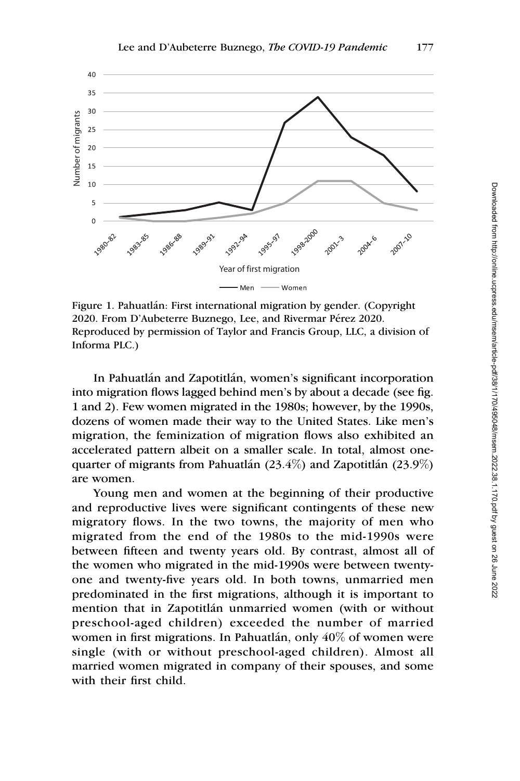

Figure 1. Pahuatlán: First international migration by gender. (Copyright 2020. From D'Aubeterre Buznego, Lee, and Rivermar Pérez 2020. Reproduced by permission of Taylor and Francis Group, LLC, a division of Informa PLC.)

In Pahuatlán and Zapotitlán, women's significant incorporation into migration flows lagged behind men's by about a decade (see fig. 1 and 2). Few women migrated in the 1980s; however, by the 1990s, dozens of women made their way to the United States. Like men's migration, the feminization of migration flows also exhibited an accelerated pattern albeit on a smaller scale. In total, almost onequarter of migrants from Pahuatlán (23.4%) and Zapotitlán (23.9%) are women.

Young men and women at the beginning of their productive and reproductive lives were significant contingents of these new migratory flows. In the two towns, the majority of men who migrated from the end of the 1980s to the mid-1990s were between fifteen and twenty years old. By contrast, almost all of the women who migrated in the mid-1990s were between twentyone and twenty-five years old. In both towns, unmarried men predominated in the first migrations, although it is important to mention that in Zapotitlán unmarried women (with or without preschool-aged children) exceeded the number of married women in first migrations. In Pahuatlán, only  $40\%$  of women were single (with or without preschool-aged children). Almost all married women migrated in company of their spouses, and some with their first child.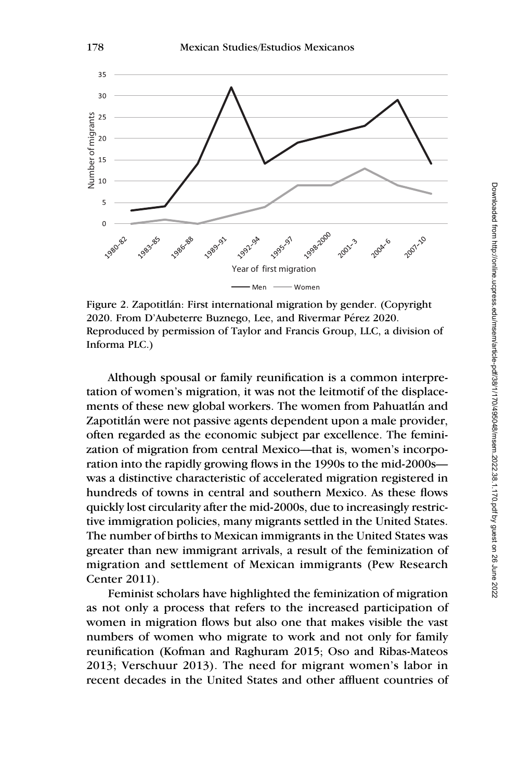

Figure 2. Zapotitlán: First international migration by gender. (Copyright 2020. From D'Aubeterre Buznego, Lee, and Rivermar Pérez 2020. Reproduced by permission of Taylor and Francis Group, LLC, a division of Informa PLC.)

Although spousal or family reunification is a common interpretation of women's migration, it was not the leitmotif of the displacements of these new global workers. The women from Pahuatlán and Zapotitlán were not passive agents dependent upon a male provider, often regarded as the economic subject par excellence. The feminization of migration from central Mexico—that is, women's incorporation into the rapidly growing flows in the 1990s to the mid-2000s was a distinctive characteristic of accelerated migration registered in hundreds of towns in central and southern Mexico. As these flows quickly lost circularity after the mid-2000s, due to increasingly restrictive immigration policies, many migrants settled in the United States. The number of births to Mexican immigrants in the United States was greater than new immigrant arrivals, a result of the feminization of migration and settlement of Mexican immigrants (Pew Research Center 2011).

Feminist scholars have highlighted the feminization of migration as not only a process that refers to the increased participation of women in migration flows but also one that makes visible the vast numbers of women who migrate to work and not only for family reunification (Kofman and Raghuram 2015; Oso and Ribas-Mateos 2013; Verschuur 2013). The need for migrant women's labor in recent decades in the United States and other affluent countries of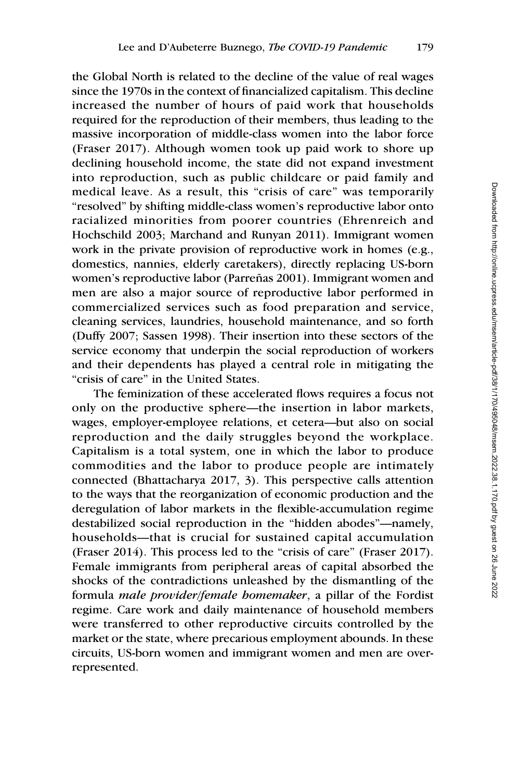the Global North is related to the decline of the value of real wages since the 1970s in the context of financialized capitalism. This decline increased the number of hours of paid work that households required for the reproduction of their members, thus leading to the massive incorporation of middle-class women into the labor force (Fraser 2017). Although women took up paid work to shore up declining household income, the state did not expand investment into reproduction, such as public childcare or paid family and medical leave. As a result, this "crisis of care" was temporarily "resolved" by shifting middle-class women's reproductive labor onto racialized minorities from poorer countries (Ehrenreich and Hochschild 2003; Marchand and Runyan 2011). Immigrant women work in the private provision of reproductive work in homes (e.g., domestics, nannies, elderly caretakers), directly replacing US-born women's reproductive labor (Parreñas 2001). Immigrant women and men are also a major source of reproductive labor performed in commercialized services such as food preparation and service, cleaning services, laundries, household maintenance, and so forth (Duffy 2007; Sassen 1998). Their insertion into these sectors of the service economy that underpin the social reproduction of workers and their dependents has played a central role in mitigating the "crisis of care" in the United States.

The feminization of these accelerated flows requires a focus not only on the productive sphere—the insertion in labor markets, wages, employer-employee relations, et cetera—but also on social reproduction and the daily struggles beyond the workplace. Capitalism is a total system, one in which the labor to produce commodities and the labor to produce people are intimately connected (Bhattacharya 2017, 3). This perspective calls attention to the ways that the reorganization of economic production and the deregulation of labor markets in the flexible-accumulation regime destabilized social reproduction in the "hidden abodes"—namely, households—that is crucial for sustained capital accumulation (Fraser 2014). This process led to the "crisis of care" (Fraser 2017). Female immigrants from peripheral areas of capital absorbed the shocks of the contradictions unleashed by the dismantling of the formula male provider/female homemaker, a pillar of the Fordist regime. Care work and daily maintenance of household members were transferred to other reproductive circuits controlled by the market or the state, where precarious employment abounds. In these circuits, US-born women and immigrant women and men are overrepresented.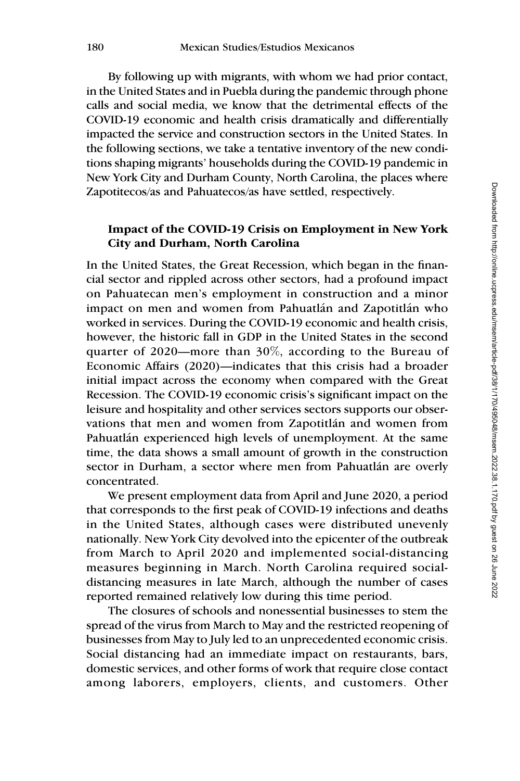By following up with migrants, with whom we had prior contact, in the United States and in Puebla during the pandemic through phone calls and social media, we know that the detrimental effects of the COVID-19 economic and health crisis dramatically and differentially impacted the service and construction sectors in the United States. In the following sections, we take a tentative inventory of the new conditions shaping migrants' households during the COVID-19 pandemic in New York City and Durham County, North Carolina, the places where Zapotitecos/as and Pahuatecos/as have settled, respectively.

## Impact of the COVID-19 Crisis on Employment in New York City and Durham, North Carolina

In the United States, the Great Recession, which began in the financial sector and rippled across other sectors, had a profound impact on Pahuatecan men's employment in construction and a minor impact on men and women from Pahuatlán and Zapotitlán who worked in services. During the COVID-19 economic and health crisis, however, the historic fall in GDP in the United States in the second quarter of 2020—more than 30%, according to the Bureau of Economic Affairs (2020)—indicates that this crisis had a broader initial impact across the economy when compared with the Great Recession. The COVID-19 economic crisis's significant impact on the leisure and hospitality and other services sectors supports our observations that men and women from Zapotitlán and women from Pahuatlán experienced high levels of unemployment. At the same time, the data shows a small amount of growth in the construction sector in Durham, a sector where men from Pahuatlán are overly concentrated.

We present employment data from April and June 2020, a period that corresponds to the first peak of COVID-19 infections and deaths in the United States, although cases were distributed unevenly nationally. New York City devolved into the epicenter of the outbreak from March to April 2020 and implemented social-distancing measures beginning in March. North Carolina required socialdistancing measures in late March, although the number of cases reported remained relatively low during this time period.

The closures of schools and nonessential businesses to stem the spread of the virus from March to May and the restricted reopening of businesses from May to July led to an unprecedented economic crisis. Social distancing had an immediate impact on restaurants, bars, domestic services, and other forms of work that require close contact among laborers, employers, clients, and customers. Other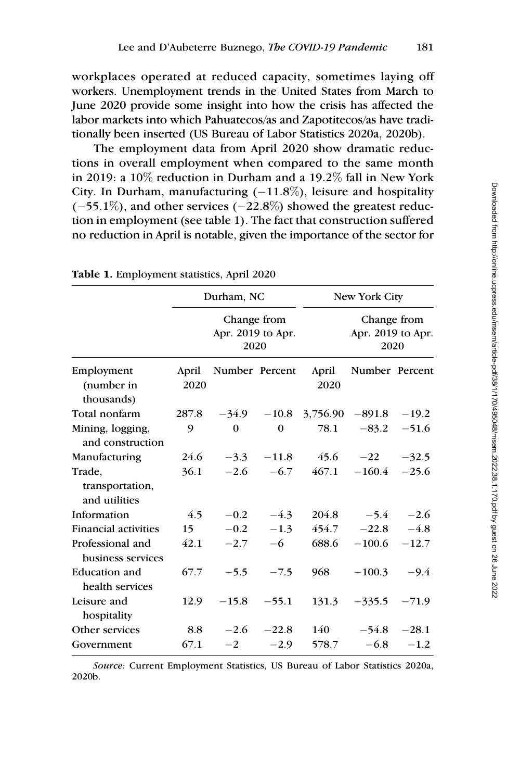workplaces operated at reduced capacity, sometimes laying off workers. Unemployment trends in the United States from March to June 2020 provide some insight into how the crisis has affected the labor markets into which Pahuatecos/as and Zapotitecos/as have traditionally been inserted (US Bureau of Labor Statistics 2020a, 2020b).

The employment data from April 2020 show dramatic reductions in overall employment when compared to the same month in 2019: a 10% reduction in Durham and a 19.2% fall in New York City. In Durham, manufacturing  $(-11.8\%)$ , leisure and hospitality  $(-55.1\%)$ , and other services  $(-22.8\%)$  showed the greatest reduction in employment (see table 1). The fact that construction suffered no reduction in April is notable, given the importance of the sector for

|                                            |       | Durham, NC                               |                                          | New York City |                |         |  |
|--------------------------------------------|-------|------------------------------------------|------------------------------------------|---------------|----------------|---------|--|
|                                            |       | Change from<br>Apr. 2019 to Apr.<br>2020 | Change from<br>Apr. 2019 to Apr.<br>2020 |               |                |         |  |
| Employment                                 | April | Number Percent                           |                                          | April         | Number Percent |         |  |
| (number in<br>thousands)                   | 2020  |                                          |                                          | 2020          |                |         |  |
| Total nonfarm                              | 287.8 | $-34.9$                                  | $-10.8$                                  | 3,756.90      | $-891.8$       | $-19.2$ |  |
| Mining, logging,<br>and construction       | 9     | $\Omega$                                 | $\overline{0}$                           | 78.1          | $-83.2$        | $-51.6$ |  |
| Manufacturing                              | 24.6  | $-3.3$                                   | $-11.8$                                  | 45.6          | $-22$          | $-32.5$ |  |
| Trade,<br>transportation,<br>and utilities | 36.1  | $-2.6$                                   | $-6.7$                                   | 467.1         | $-160.4$       | $-25.6$ |  |
| Information                                | 4.5   | $-0.2$                                   | $-4.3$                                   | 204.8         | $-5.4$         | $-2.6$  |  |
| <b>Financial activities</b>                | 15    | $-0.2$                                   | $-1.3$                                   | 454.7         | $-22.8$        | $-4.8$  |  |
| Professional and<br>business services      | 42.1  | $-2.7$                                   | $-6$                                     | 688.6         | $-100.6$       | $-12.7$ |  |
| <b>Education and</b><br>health services    | 67.7  | $-5.5$                                   | $-7.5$                                   | 968           | $-100.3$       | $-9.4$  |  |
| Leisure and<br>hospitality                 | 12.9  | $-15.8$                                  | $-55.1$                                  | 131.3         | $-335.5$       | $-71.9$ |  |
| Other services                             | 8.8   | $-2.6$                                   | $-22.8$                                  | 140           | $-54.8$        | $-28.1$ |  |
| Government                                 | 67.1  | $-2$                                     | $-2.9$                                   | 578.7         | $-6.8$         | $-1.2$  |  |

Table 1. Employment statistics, April 2020

Source: Current Employment Statistics, US Bureau of Labor Statistics 2020a, 2020b.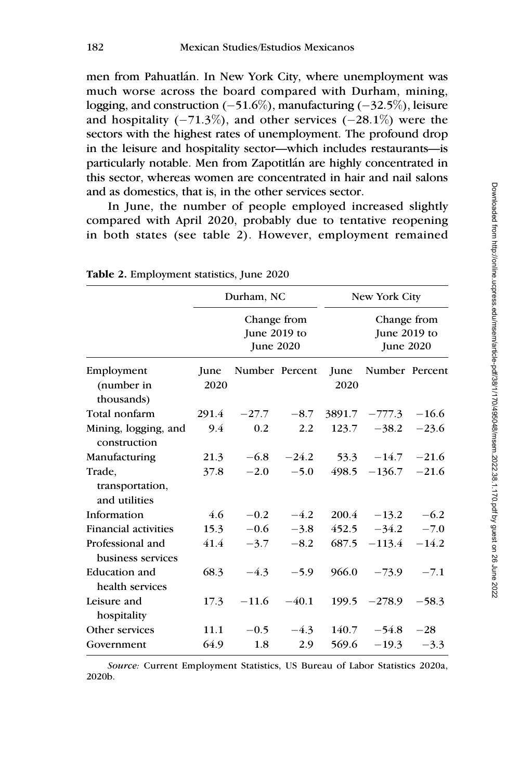men from Pahuatlán. In New York City, where unemployment was much worse across the board compared with Durham, mining, logging, and construction (–51.6%), manufacturing (–32.5%), leisure and hospitality (-71.3%), and other services (-28.1%) were the sectors with the highest rates of unemployment. The profound drop in the leisure and hospitality sector—which includes restaurants—is particularly notable. Men from Zapotitlán are highly concentrated in this sector, whereas women are concentrated in hair and nail salons and as domestics, that is, in the other services sector.

In June, the number of people employed increased slightly compared with April 2020, probably due to tentative reopening in both states (see table 2). However, employment remained

|                                            |       | Durham, NC                                      |         | New York City |                                          |         |  |
|--------------------------------------------|-------|-------------------------------------------------|---------|---------------|------------------------------------------|---------|--|
| Employment                                 |       | Change from<br>June 2019 to<br><b>June 2020</b> |         |               | Change from<br>June 2019 to<br>June 2020 |         |  |
|                                            | June  | Number Percent                                  |         | June          | Number Percent                           |         |  |
| (number in                                 | 2020  |                                                 |         | 2020          |                                          |         |  |
| thousands)                                 |       |                                                 |         |               |                                          |         |  |
| Total nonfarm                              | 291.4 | $-27.7$                                         | $-8.7$  | 3891.7        | $-777.3$                                 | $-16.6$ |  |
| Mining, logging, and<br>construction       | 9.4   | 0.2                                             | 2.2     | 123.7         | $-38.2$                                  | $-23.6$ |  |
| Manufacturing                              | 21.3  | $-6.8$                                          | $-24.2$ | 53.3          | $-14.7$                                  | $-21.6$ |  |
| Trade,<br>transportation,<br>and utilities | 37.8  | $-2.0$                                          | $-5.0$  | 498.5         | $-136.7$                                 | $-21.6$ |  |
| Information                                | 4.6   | $-0.2$                                          | $-4.2$  | 200.4         | $-13.2$                                  | $-6.2$  |  |
| <b>Financial activities</b>                | 15.3  | $-0.6$                                          | $-3.8$  | 452.5         | $-34.2$                                  | $-7.0$  |  |
| Professional and<br>business services      | 41.4  | $-3.7$                                          | $-8.2$  | 687.5         | $-113.4$                                 | $-14.2$ |  |
| <b>Education and</b><br>health services    | 68.3  | $-4.3$                                          | $-5.9$  | 966.0         | $-73.9$                                  | $-7.1$  |  |
| Leisure and<br>hospitality                 | 17.3  | $-11.6$                                         | $-40.1$ | 199.5         | $-278.9$                                 | $-58.3$ |  |
| Other services                             | 11.1  | $-0.5$                                          | $-4.3$  | 140.7         | $-54.8$                                  | $-28$   |  |
| Government                                 | 64.9  | 1.8                                             | 2.9     | 569.6         | $-19.3$                                  | $-3.3$  |  |

Table 2. Employment statistics, June 2020

Source: Current Employment Statistics, US Bureau of Labor Statistics 2020a, 2020b.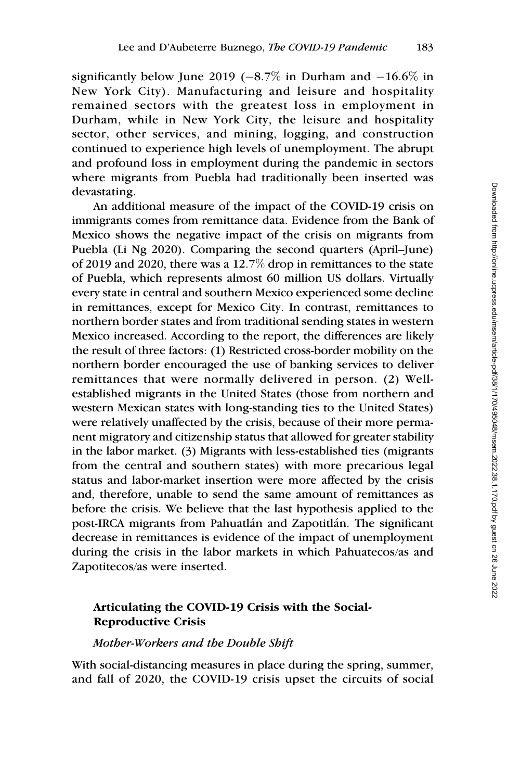significantly below June 2019 ( $-8.7\%$  in Durham and  $-16.6\%$  in New York City). Manufacturing and leisure and hospitality remained sectors with the greatest loss in employment in Durham, while in New York City, the leisure and hospitality sector, other services, and mining, logging, and construction continued to experience high levels of unemployment. The abrupt and profound loss in employment during the pandemic in sectors where migrants from Puebla had traditionally been inserted was devastating.

An additional measure of the impact of the COVID-19 crisis on immigrants comes from remittance data. Evidence from the Bank of Mexico shows the negative impact of the crisis on migrants from Puebla (Li Ng 2020). Comparing the second quarters (April–June) of 2019 and 2020, there was a 12.7% drop in remittances to the state of Puebla, which represents almost 60 million US dollars. Virtually every state in central and southern Mexico experienced some decline in remittances, except for Mexico City. In contrast, remittances to northern border states and from traditional sending states in western Mexico increased. According to the report, the differences are likely the result of three factors: (1) Restricted cross-border mobility on the northern border encouraged the use of banking services to deliver remittances that were normally delivered in person. (2) Wellestablished migrants in the United States (those from northern and western Mexican states with long-standing ties to the United States) were relatively unaffected by the crisis, because of their more permanent migratory and citizenship status that allowed for greater stability in the labor market. (3) Migrants with less-established ties (migrants from the central and southern states) with more precarious legal status and labor-market insertion were more affected by the crisis and, therefore, unable to send the same amount of remittances as before the crisis. We believe that the last hypothesis applied to the post-IRCA migrants from Pahuatlán and Zapotitlán. The significant decrease in remittances is evidence of the impact of unemployment during the crisis in the labor markets in which Pahuatecos/as and Zapotitecos/as were inserted.

# Articulating the COVID-19 Crisis with the Social-Reproductive Crisis

#### Mother-Workers and the Double Shift

With social-distancing measures in place during the spring, summer, and fall of 2020, the COVID-19 crisis upset the circuits of social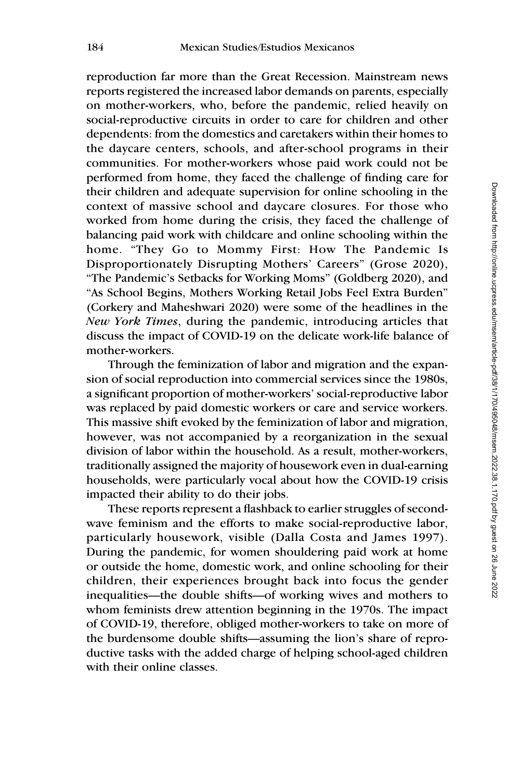reproduction far more than the Great Recession. Mainstream news reports registered the increased labor demands on parents, especially on mother-workers, who, before the pandemic, relied heavily on social-reproductive circuits in order to care for children and other dependents: from the domestics and caretakers within their homes to the daycare centers, schools, and after-school programs in their communities. For mother-workers whose paid work could not be performed from home, they faced the challenge of finding care for their children and adequate supervision for online schooling in the context of massive school and daycare closures. For those who worked from home during the crisis, they faced the challenge of balancing paid work with childcare and online schooling within the home. "They Go to Mommy First: How The Pandemic Is Disproportionately Disrupting Mothers' Careers" (Grose 2020), "The Pandemic's Setbacks for Working Moms" (Goldberg 2020), and "As School Begins, Mothers Working Retail Jobs Feel Extra Burden" (Corkery and Maheshwari 2020) were some of the headlines in the New York Times, during the pandemic, introducing articles that discuss the impact of COVID-19 on the delicate work-life balance of mother-workers.

Through the feminization of labor and migration and the expansion of social reproduction into commercial services since the 1980s, a significant proportion of mother-workers' social-reproductive labor was replaced by paid domestic workers or care and service workers. This massive shift evoked by the feminization of labor and migration, however, was not accompanied by a reorganization in the sexual division of labor within the household. As a result, mother-workers, traditionally assigned the majority of housework even in dual-earning households, were particularly vocal about how the COVID-19 crisis impacted their ability to do their jobs.

These reports represent a flashback to earlier struggles of secondwave feminism and the efforts to make social-reproductive labor, particularly housework, visible (Dalla Costa and James 1997). During the pandemic, for women shouldering paid work at home or outside the home, domestic work, and online schooling for their children, their experiences brought back into focus the gender inequalities—the double shifts—of working wives and mothers to whom feminists drew attention beginning in the 1970s. The impact of COVID-19, therefore, obliged mother-workers to take on more of the burdensome double shifts—assuming the lion's share of reproductive tasks with the added charge of helping school-aged children with their online classes.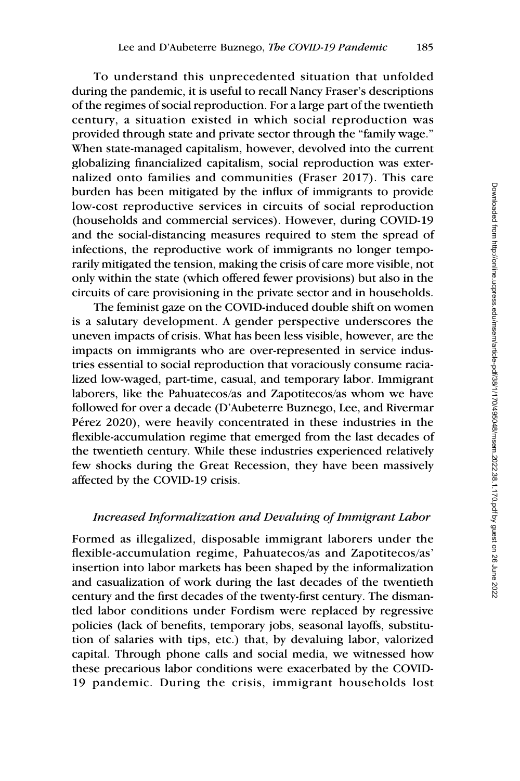To understand this unprecedented situation that unfolded during the pandemic, it is useful to recall Nancy Fraser's descriptions of the regimes of social reproduction. For a large part of the twentieth century, a situation existed in which social reproduction was provided through state and private sector through the "family wage." When state-managed capitalism, however, devolved into the current globalizing financialized capitalism, social reproduction was externalized onto families and communities (Fraser 2017). This care burden has been mitigated by the influx of immigrants to provide low-cost reproductive services in circuits of social reproduction (households and commercial services). However, during COVID-19 and the social-distancing measures required to stem the spread of infections, the reproductive work of immigrants no longer temporarily mitigated the tension, making the crisis of care more visible, not only within the state (which offered fewer provisions) but also in the circuits of care provisioning in the private sector and in households.

The feminist gaze on the COVID-induced double shift on women is a salutary development. A gender perspective underscores the uneven impacts of crisis. What has been less visible, however, are the impacts on immigrants who are over-represented in service industries essential to social reproduction that voraciously consume racialized low-waged, part-time, casual, and temporary labor. Immigrant laborers, like the Pahuatecos/as and Zapotitecos/as whom we have followed for over a decade (D'Aubeterre Buznego, Lee, and Rivermar Pérez 2020), were heavily concentrated in these industries in the flexible-accumulation regime that emerged from the last decades of the twentieth century. While these industries experienced relatively few shocks during the Great Recession, they have been massively affected by the COVID-19 crisis.

#### Increased Informalization and Devaluing of Immigrant Labor

Formed as illegalized, disposable immigrant laborers under the flexible-accumulation regime, Pahuatecos/as and Zapotitecos/as' insertion into labor markets has been shaped by the informalization and casualization of work during the last decades of the twentieth century and the first decades of the twenty-first century. The dismantled labor conditions under Fordism were replaced by regressive policies (lack of benefits, temporary jobs, seasonal layoffs, substitution of salaries with tips, etc.) that, by devaluing labor, valorized capital. Through phone calls and social media, we witnessed how these precarious labor conditions were exacerbated by the COVID-19 pandemic. During the crisis, immigrant households lost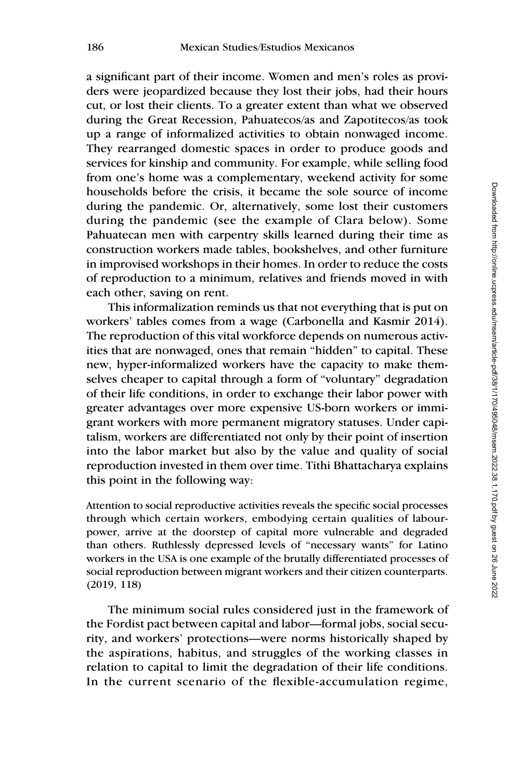a significant part of their income. Women and men's roles as providers were jeopardized because they lost their jobs, had their hours cut, or lost their clients. To a greater extent than what we observed during the Great Recession, Pahuatecos/as and Zapotitecos/as took up a range of informalized activities to obtain nonwaged income. They rearranged domestic spaces in order to produce goods and services for kinship and community. For example, while selling food from one's home was a complementary, weekend activity for some households before the crisis, it became the sole source of income during the pandemic. Or, alternatively, some lost their customers during the pandemic (see the example of Clara below). Some Pahuatecan men with carpentry skills learned during their time as construction workers made tables, bookshelves, and other furniture in improvised workshops in their homes. In order to reduce the costs of reproduction to a minimum, relatives and friends moved in with each other, saving on rent.

This informalization reminds us that not everything that is put on workers' tables comes from a wage (Carbonella and Kasmir 2014). The reproduction of this vital workforce depends on numerous activities that are nonwaged, ones that remain "hidden" to capital. These new, hyper-informalized workers have the capacity to make themselves cheaper to capital through a form of "voluntary" degradation of their life conditions, in order to exchange their labor power with greater advantages over more expensive US-born workers or immigrant workers with more permanent migratory statuses. Under capitalism, workers are differentiated not only by their point of insertion into the labor market but also by the value and quality of social reproduction invested in them over time. Tithi Bhattacharya explains this point in the following way:

Attention to social reproductive activities reveals the specific social processes through which certain workers, embodying certain qualities of labourpower, arrive at the doorstep of capital more vulnerable and degraded than others. Ruthlessly depressed levels of "necessary wants" for Latino workers in the USA is one example of the brutally differentiated processes of social reproduction between migrant workers and their citizen counterparts. (2019, 118)

The minimum social rules considered just in the framework of the Fordist pact between capital and labor—formal jobs, social security, and workers' protections—were norms historically shaped by the aspirations, habitus, and struggles of the working classes in relation to capital to limit the degradation of their life conditions. In the current scenario of the flexible-accumulation regime,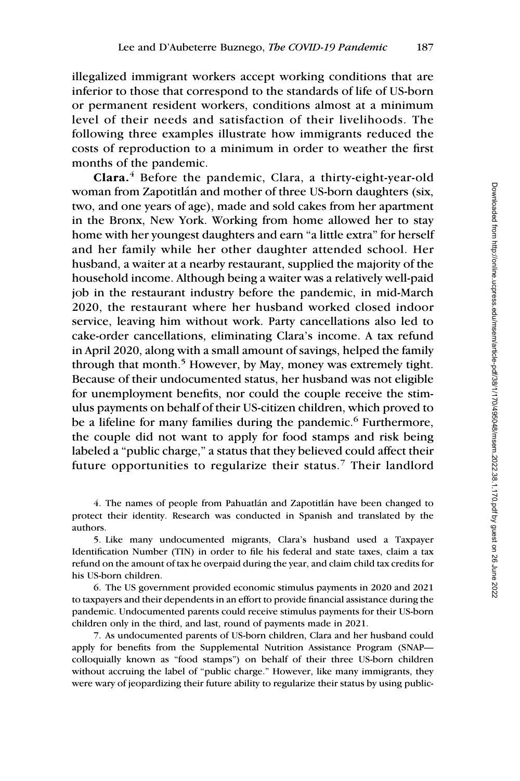illegalized immigrant workers accept working conditions that are inferior to those that correspond to the standards of life of US-born or permanent resident workers, conditions almost at a minimum level of their needs and satisfaction of their livelihoods. The following three examples illustrate how immigrants reduced the costs of reproduction to a minimum in order to weather the first months of the pandemic.

Clara.<sup>4</sup> Before the pandemic, Clara, a thirty-eight-year-old woman from Zapotitlán and mother of three US-born daughters (six, two, and one years of age), made and sold cakes from her apartment in the Bronx, New York. Working from home allowed her to stay home with her youngest daughters and earn "a little extra" for herself and her family while her other daughter attended school. Her husband, a waiter at a nearby restaurant, supplied the majority of the household income. Although being a waiter was a relatively well-paid job in the restaurant industry before the pandemic, in mid-March 2020, the restaurant where her husband worked closed indoor service, leaving him without work. Party cancellations also led to cake-order cancellations, eliminating Clara's income. A tax refund in April 2020, along with a small amount of savings, helped the family through that month.<sup>5</sup> However, by May, money was extremely tight. Because of their undocumented status, her husband was not eligible for unemployment benefits, nor could the couple receive the stimulus payments on behalf of their US-citizen children, which proved to be a lifeline for many families during the pandemic.<sup>6</sup> Furthermore, the couple did not want to apply for food stamps and risk being labeled a "public charge," a status that they believed could affect their future opportunities to regularize their status.<sup>7</sup> Their landlord

4. The names of people from Pahuatlán and Zapotitlán have been changed to protect their identity. Research was conducted in Spanish and translated by the authors.

5. Like many undocumented migrants, Clara's husband used a Taxpayer Identification Number (TIN) in order to file his federal and state taxes, claim a tax refund on the amount of tax he overpaid during the year, and claim child tax credits for his US-born children.

6. The US government provided economic stimulus payments in 2020 and 2021 to taxpayers and their dependents in an effort to provide financial assistance during the pandemic. Undocumented parents could receive stimulus payments for their US-born children only in the third, and last, round of payments made in 2021.

7. As undocumented parents of US-born children, Clara and her husband could apply for benefits from the Supplemental Nutrition Assistance Program (SNAP colloquially known as "food stamps") on behalf of their three US-born children without accruing the label of "public charge." However, like many immigrants, they were wary of jeopardizing their future ability to regularize their status by using public-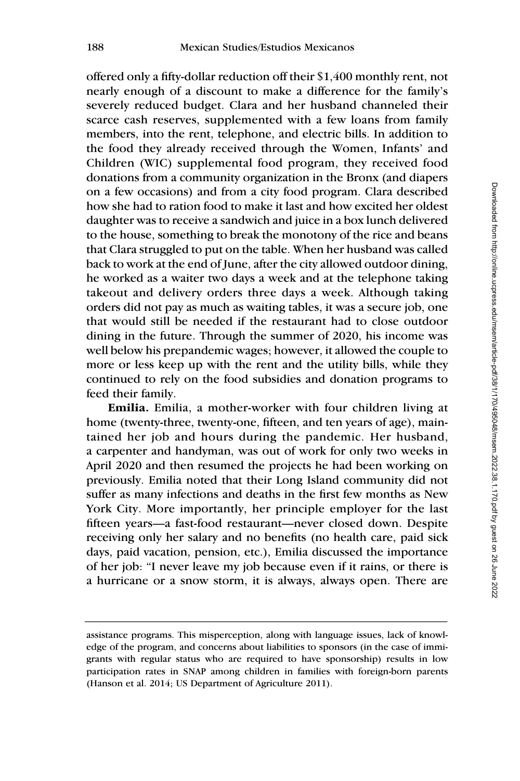offered only a fifty-dollar reduction off their \$1,400 monthly rent, not nearly enough of a discount to make a difference for the family's severely reduced budget. Clara and her husband channeled their scarce cash reserves, supplemented with a few loans from family members, into the rent, telephone, and electric bills. In addition to the food they already received through the Women, Infants' and Children (WIC) supplemental food program, they received food donations from a community organization in the Bronx (and diapers on a few occasions) and from a city food program. Clara described how she had to ration food to make it last and how excited her oldest daughter was to receive a sandwich and juice in a box lunch delivered to the house, something to break the monotony of the rice and beans that Clara struggled to put on the table. When her husband was called back to work at the end of June, after the city allowed outdoor dining, he worked as a waiter two days a week and at the telephone taking takeout and delivery orders three days a week. Although taking orders did not pay as much as waiting tables, it was a secure job, one that would still be needed if the restaurant had to close outdoor dining in the future. Through the summer of 2020, his income was well below his prepandemic wages; however, it allowed the couple to more or less keep up with the rent and the utility bills, while they continued to rely on the food subsidies and donation programs to feed their family. 188 Moskan Studies Tatution backgrounds Moskan<br>
solitered only a fifty-dollar reduction of their S1,400 monthly rent, not<br>
nearly enough to a discussion to make a difference for the finding<br>
second background of a discuss

Emilia. Emilia, a mother-worker with four children living at home (twenty-three, twenty-one, fifteen, and ten years of age), maintained her job and hours during the pandemic. Her husband, a carpenter and handyman, was out of work for only two weeks in April 2020 and then resumed the projects he had been working on previously. Emilia noted that their Long Island community did not suffer as many infections and deaths in the first few months as New York City. More importantly, her principle employer for the last fifteen years—a fast-food restaurant—never closed down. Despite receiving only her salary and no benefits (no health care, paid sick days, paid vacation, pension, etc.), Emilia discussed the importance of her job: "I never leave my job because even if it rains, or there is a hurricane or a snow storm, it is always, always open. There are

assistance programs. This misperception, along with language issues, lack of knowledge of the program, and concerns about liabilities to sponsors (in the case of immigrants with regular status who are required to have sponsorship) results in low participation rates in SNAP among children in families with foreign-born parents (Hanson et al. 2014; US Department of Agriculture 2011).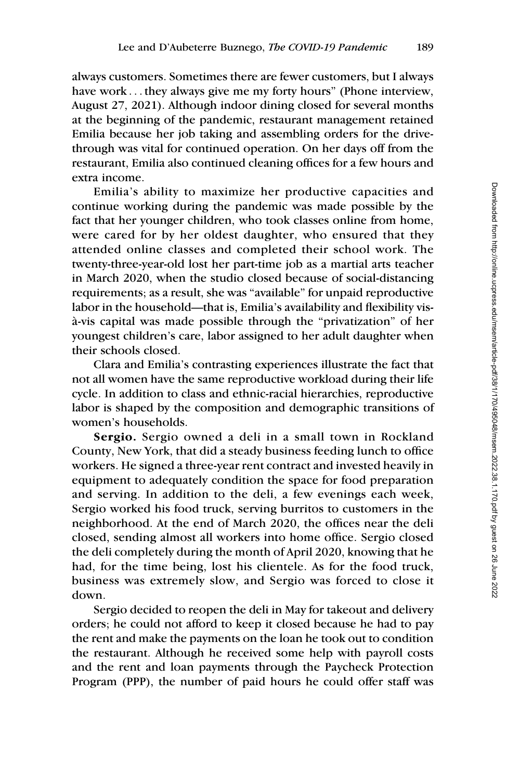always customers. Sometimes there are fewer customers, but I always have work ... they always give me my forty hours" (Phone interview, August 27, 2021). Although indoor dining closed for several months at the beginning of the pandemic, restaurant management retained Emilia because her job taking and assembling orders for the drivethrough was vital for continued operation. On her days off from the restaurant, Emilia also continued cleaning offices for a few hours and extra income.

Emilia's ability to maximize her productive capacities and continue working during the pandemic was made possible by the fact that her younger children, who took classes online from home, were cared for by her oldest daughter, who ensured that they attended online classes and completed their school work. The twenty-three-year-old lost her part-time job as a martial arts teacher in March 2020, when the studio closed because of social-distancing requirements; as a result, she was "available" for unpaid reproductive labor in the household—that is, Emilia's availability and flexibility vis- `a-vis capital was made possible through the "privatization" of her youngest children's care, labor assigned to her adult daughter when their schools closed.

Clara and Emilia's contrasting experiences illustrate the fact that not all women have the same reproductive workload during their life cycle. In addition to class and ethnic-racial hierarchies, reproductive labor is shaped by the composition and demographic transitions of women's households.

Sergio. Sergio owned a deli in a small town in Rockland County, New York, that did a steady business feeding lunch to office workers. He signed a three-year rent contract and invested heavily in equipment to adequately condition the space for food preparation and serving. In addition to the deli, a few evenings each week, Sergio worked his food truck, serving burritos to customers in the neighborhood. At the end of March 2020, the offices near the deli closed, sending almost all workers into home office. Sergio closed the deli completely during the month of April 2020, knowing that he had, for the time being, lost his clientele. As for the food truck, business was extremely slow, and Sergio was forced to close it down.

Sergio decided to reopen the deli in May for takeout and delivery orders; he could not afford to keep it closed because he had to pay the rent and make the payments on the loan he took out to condition the restaurant. Although he received some help with payroll costs and the rent and loan payments through the Paycheck Protection Program (PPP), the number of paid hours he could offer staff was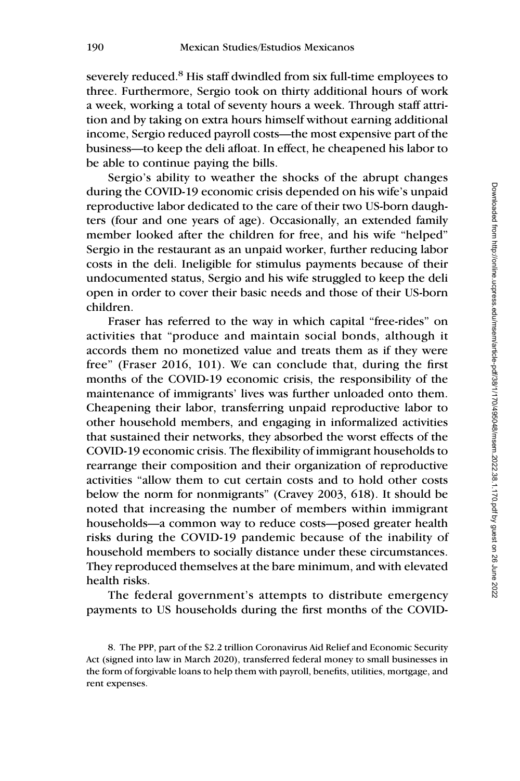severely reduced.<sup>8</sup> His staff dwindled from six full-time employees to three. Furthermore, Sergio took on thirty additional hours of work a week, working a total of seventy hours a week. Through staff attrition and by taking on extra hours himself without earning additional income, Sergio reduced payroll costs—the most expensive part of the business—to keep the deli afloat. In effect, he cheapened his labor to be able to continue paying the bills.

Sergio's ability to weather the shocks of the abrupt changes during the COVID-19 economic crisis depended on his wife's unpaid reproductive labor dedicated to the care of their two US-born daughters (four and one years of age). Occasionally, an extended family member looked after the children for free, and his wife "helped" Sergio in the restaurant as an unpaid worker, further reducing labor costs in the deli. Ineligible for stimulus payments because of their undocumented status, Sergio and his wife struggled to keep the deli open in order to cover their basic needs and those of their US-born children.

Fraser has referred to the way in which capital "free-rides" on activities that "produce and maintain social bonds, although it accords them no monetized value and treats them as if they were free" (Fraser 2016, 101). We can conclude that, during the first months of the COVID-19 economic crisis, the responsibility of the maintenance of immigrants' lives was further unloaded onto them. Cheapening their labor, transferring unpaid reproductive labor to other household members, and engaging in informalized activities that sustained their networks, they absorbed the worst effects of the COVID-19 economic crisis. The flexibility of immigrant households to rearrange their composition and their organization of reproductive activities "allow them to cut certain costs and to hold other costs below the norm for nonmigrants" (Cravey 2003, 618). It should be noted that increasing the number of members within immigrant households—a common way to reduce costs—posed greater health risks during the COVID-19 pandemic because of the inability of household members to socially distance under these circumstances. They reproduced themselves at the bare minimum, and with elevated health risks.

The federal government's attempts to distribute emergency payments to US households during the first months of the COVID-

<sup>8.</sup> The PPP, part of the \$2.2 trillion Coronavirus Aid Relief and Economic Security Act (signed into law in March 2020), transferred federal money to small businesses in the form of forgivable loans to help them with payroll, benefits, utilities, mortgage, and rent expenses.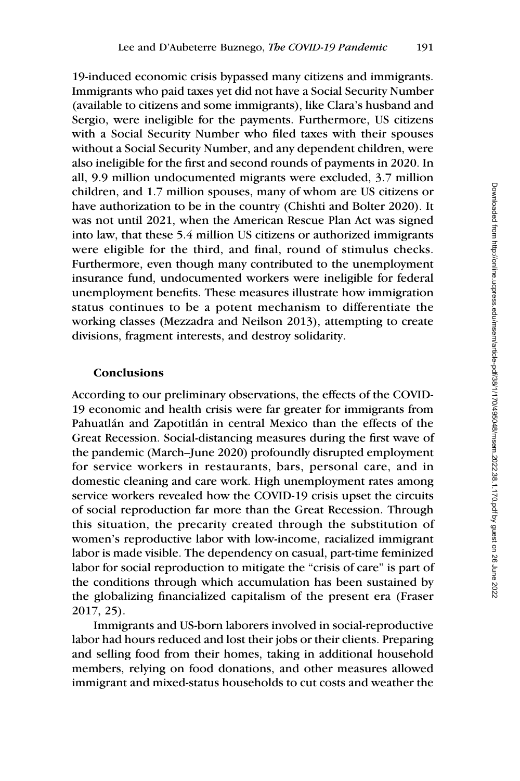19-induced economic crisis bypassed many citizens and immigrants. Immigrants who paid taxes yet did not have a Social Security Number (available to citizens and some immigrants), like Clara's husband and Sergio, were ineligible for the payments. Furthermore, US citizens with a Social Security Number who filed taxes with their spouses without a Social Security Number, and any dependent children, were also ineligible for the first and second rounds of payments in 2020. In all, 9.9 million undocumented migrants were excluded, 3.7 million children, and 1.7 million spouses, many of whom are US citizens or have authorization to be in the country (Chishti and Bolter 2020). It was not until 2021, when the American Rescue Plan Act was signed into law, that these 5.4 million US citizens or authorized immigrants were eligible for the third, and final, round of stimulus checks. Furthermore, even though many contributed to the unemployment insurance fund, undocumented workers were ineligible for federal unemployment benefits. These measures illustrate how immigration status continues to be a potent mechanism to differentiate the working classes (Mezzadra and Neilson 2013), attempting to create divisions, fragment interests, and destroy solidarity.

## Conclusions

According to our preliminary observations, the effects of the COVID-19 economic and health crisis were far greater for immigrants from Pahuatlán and Zapotitlán in central Mexico than the effects of the Great Recession. Social-distancing measures during the first wave of the pandemic (March–June 2020) profoundly disrupted employment for service workers in restaurants, bars, personal care, and in domestic cleaning and care work. High unemployment rates among service workers revealed how the COVID-19 crisis upset the circuits of social reproduction far more than the Great Recession. Through this situation, the precarity created through the substitution of women's reproductive labor with low-income, racialized immigrant labor is made visible. The dependency on casual, part-time feminized labor for social reproduction to mitigate the "crisis of care" is part of the conditions through which accumulation has been sustained by the globalizing financialized capitalism of the present era (Fraser 2017, 25).

Immigrants and US-born laborers involved in social-reproductive labor had hours reduced and lost their jobs or their clients. Preparing and selling food from their homes, taking in additional household members, relying on food donations, and other measures allowed immigrant and mixed-status households to cut costs and weather the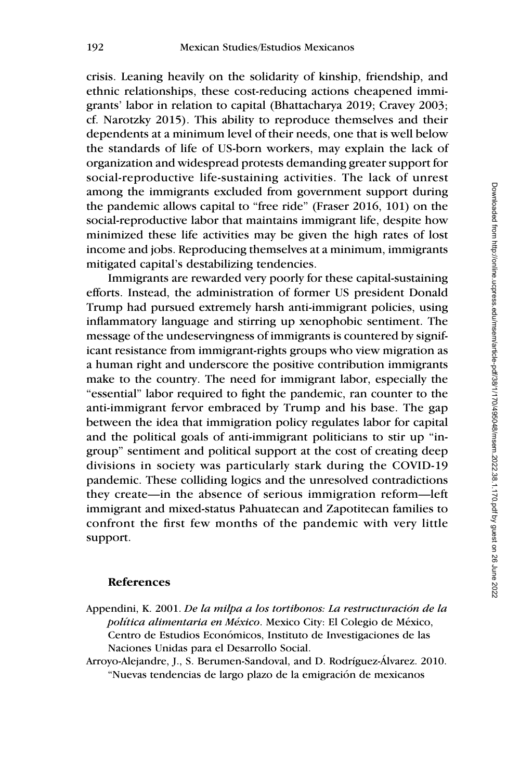crisis. Leaning heavily on the solidarity of kinship, friendship, and ethnic relationships, these cost-reducing actions cheapened immigrants' labor in relation to capital (Bhattacharya 2019; Cravey 2003; cf. Narotzky 2015). This ability to reproduce themselves and their dependents at a minimum level of their needs, one that is well below the standards of life of US-born workers, may explain the lack of organization and widespread protests demanding greater support for social-reproductive life-sustaining activities. The lack of unrest among the immigrants excluded from government support during the pandemic allows capital to "free ride" (Fraser 2016, 101) on the social-reproductive labor that maintains immigrant life, despite how minimized these life activities may be given the high rates of lost income and jobs. Reproducing themselves at a minimum, immigrants mitigated capital's destabilizing tendencies.

Immigrants are rewarded very poorly for these capital-sustaining efforts. Instead, the administration of former US president Donald Trump had pursued extremely harsh anti-immigrant policies, using inflammatory language and stirring up xenophobic sentiment. The message of the undeservingness of immigrants is countered by significant resistance from immigrant-rights groups who view migration as a human right and underscore the positive contribution immigrants make to the country. The need for immigrant labor, especially the "essential" labor required to fight the pandemic, ran counter to the anti-immigrant fervor embraced by Trump and his base. The gap between the idea that immigration policy regulates labor for capital and the political goals of anti-immigrant politicians to stir up "ingroup" sentiment and political support at the cost of creating deep divisions in society was particularly stark during the COVID-19 pandemic. These colliding logics and the unresolved contradictions they create—in the absence of serious immigration reform—left immigrant and mixed-status Pahuatecan and Zapotitecan families to confront the first few months of the pandemic with very little support.

#### References

- Appendini, K. 2001. De la milpa a los tortibonos: La restructuración de la política alimentaria en México. Mexico City: El Colegio de México, Centro de Estudios Económicos, Instituto de Investigaciones de las Naciones Unidas para el Desarrollo Social.
- Arroyo-Alejandre, J., S. Berumen-Sandoval, and D. Rodríguez-Álvarez. 2010. "Nuevas tendencias de largo plazo de la emigración de mexicanos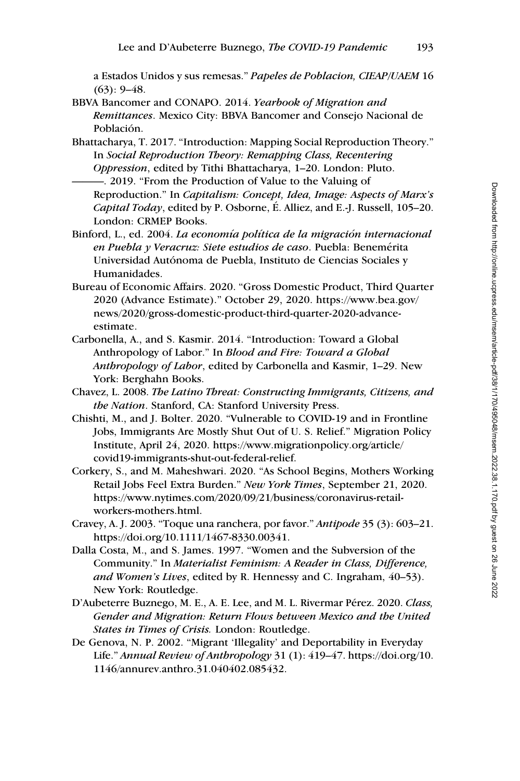a Estados Unidos y sus remesas." Papeles de Poblacion, CIEAP/UAEM 16  $(63): 9-48.$ 

- BBVA Bancomer and CONAPO. 2014. Yearbook of Migration and Remittances. Mexico City: BBVA Bancomer and Consejo Nacional de Población.
- Bhattacharya, T. 2017. "Introduction: Mapping Social Reproduction Theory." In Social Reproduction Theory: Remapping Class, Recentering Oppression, edited by Tithi Bhattacharya, 1–20. London: Pluto. ———. 2019. "From the Production of Value to the Valuing of
	- Reproduction." In Capitalism: Concept, Idea, Image: Aspects of Marx's Capital Today, edited by P. Osborne, É. Alliez, and E.-J. Russell, 105–20. London: CRMEP Books.
- Binford, L., ed. 2004. La economía política de la migración internacional en Puebla y Veracruz: Siete estudios de caso. Puebla: Benemérita Universidad Autónoma de Puebla, Instituto de Ciencias Sociales y Humanidades.
- Bureau of Economic Affairs. 2020. "Gross Domestic Product, Third Quarter 2020 (Advance Estimate)." October 29, 2020. [https://www.bea.gov/](https://www.bea.gov/news/2020/gross-domestic-product-third-quarter-2020-advance-estimate) [news/2020/gross-domestic-product-third-quarter-2020-advance](https://www.bea.gov/news/2020/gross-domestic-product-third-quarter-2020-advance-estimate)[estimate.](https://www.bea.gov/news/2020/gross-domestic-product-third-quarter-2020-advance-estimate)
- Carbonella, A., and S. Kasmir. 2014. "Introduction: Toward a Global Anthropology of Labor." In Blood and Fire: Toward a Global Anthropology of Labor, edited by Carbonella and Kasmir, 1–29. New York: Berghahn Books.
- Chavez, L. 2008. The Latino Threat: Constructing Immigrants, Citizens, and the Nation. Stanford, CA: Stanford University Press.
- Chishti, M., and J. Bolter. 2020. "Vulnerable to COVID-19 and in Frontline Jobs, Immigrants Are Mostly Shut Out of U. S. Relief." Migration Policy Institute, April 24, 2020. [https://www.migrationpolicy.org/article/](https://www.migrationpolicy.org/article/covid19-immigrants-shut-out-federal-relief) [covid19-immigrants-shut-out-federal-relief.](https://www.migrationpolicy.org/article/covid19-immigrants-shut-out-federal-relief)
- Corkery, S., and M. Maheshwari. 2020. "As School Begins, Mothers Working Retail Jobs Feel Extra Burden." New York Times, September 21, 2020. [https://www.nytimes.com/2020/09/21/business/coronavirus-retail](https://www.nytimes.com/2020/09/21/business/coronavirus-retail-workers-mothers.html)[workers-mothers.html.](https://www.nytimes.com/2020/09/21/business/coronavirus-retail-workers-mothers.html)
- Cravey, A. J. 2003. "Toque una ranchera, por favor." Antipode 35 (3): 603–21. [https://doi.org/10.1111/1467-8330.00341.](https://doi.org/10.1111/1467-8330.00341)
- Dalla Costa, M., and S. James. 1997. "Women and the Subversion of the Community." In Materialist Feminism: A Reader in Class, Difference, and Women's Lives, edited by R. Hennessy and C. Ingraham, 40–53). New York: Routledge.
- D'Aubeterre Buznego, M. E., A. E. Lee, and M. L. Rivermar Pérez. 2020. Class, Gender and Migration: Return Flows between Mexico and the United States in Times of Crisis. London: Routledge.
- De Genova, N. P. 2002. "Migrant 'Illegality' and Deportability in Everyday Life." Annual Review of Anthropology 31 (1):  $419-47$ . [https://doi.org/10.](https://doi.org/10.1146/annurev.anthro.31.040402.085432) [1146/annurev.anthro.31.040402.085432.](https://doi.org/10.1146/annurev.anthro.31.040402.085432)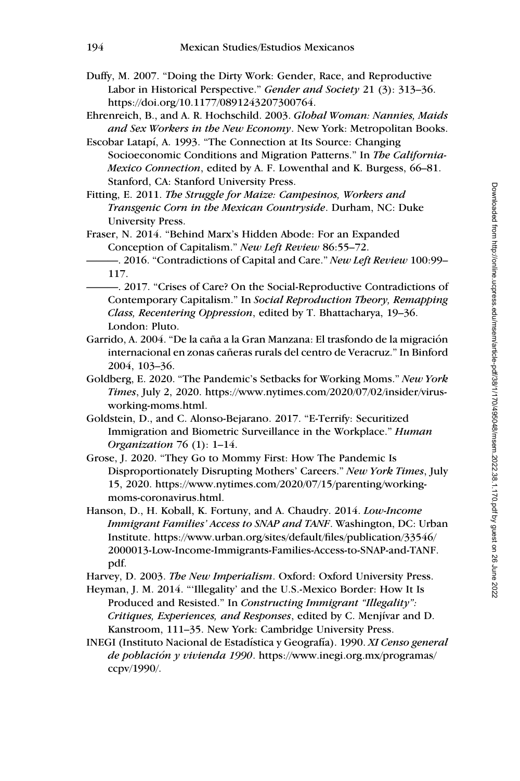- Duffy, M. 2007. "Doing the Dirty Work: Gender, Race, and Reproductive Labor in Historical Perspective." Gender and Society 21 (3): 313-36. <https://doi.org/10.1177/0891243207300764>.
- Ehrenreich, B., and A. R. Hochschild. 2003. Global Woman: Nannies, Maids and Sex Workers in the New Economy. New York: Metropolitan Books.
- Escobar Latapí, A. 1993. "The Connection at Its Source: Changing Socioeconomic Conditions and Migration Patterns." In The California-Mexico Connection, edited by A. F. Lowenthal and K. Burgess, 66–81. Stanford, CA: Stanford University Press.
- Fitting, E. 2011. The Struggle for Maize: Campesinos, Workers and Transgenic Corn in the Mexican Countryside. Durham, NC: Duke University Press.
- Fraser, N. 2014. "Behind Marx's Hidden Abode: For an Expanded Conception of Capitalism." New Left Review 86:55–72.
- -. 2016. "Contradictions of Capital and Care." New Left Review 100:99-117.
	- ———. 2017. "Crises of Care? On the Social-Reproductive Contradictions of Contemporary Capitalism." In Social Reproduction Theory, Remapping Class, Recentering Oppression, edited by T. Bhattacharya, 19–36. London: Pluto.
- Garrido, A. 2004. "De la caña a la Gran Manzana: El trasfondo de la migración internacional en zonas cañeras rurals del centro de Veracruz." In Binford 2004, 103–36.
- Goldberg, E. 2020. "The Pandemic's Setbacks for Working Moms." New York Times, July 2, 2020. [https://www.nytimes.com/2020/07/02/insider/virus](https://www.nytimes.com/2020/07/02/insider/virus-working-moms.html)[working-moms.html](https://www.nytimes.com/2020/07/02/insider/virus-working-moms.html).
- Goldstein, D., and C. Alonso-Bejarano. 2017. "E-Terrify: Securitized Immigration and Biometric Surveillance in the Workplace." Human Organization 76 (1): 1–14.
- Grose, J. 2020. "They Go to Mommy First: How The Pandemic Is Disproportionately Disrupting Mothers' Careers." New York Times, July 15, 2020. [https://www.nytimes.com/2020/07/15/parenting/working](https://www.nytimes.com/2020/07/15/parenting/working-moms-coronavirus.html)[moms-coronavirus.html](https://www.nytimes.com/2020/07/15/parenting/working-moms-coronavirus.html).
- Hanson, D., H. Koball, K. Fortuny, and A. Chaudry. 2014. Low-Income Immigrant Families' Access to SNAP and TANF. Washington, DC: Urban Institute. [https://www.urban.org/sites/default/files/publication/33546/](https://www.urban.org/sites/default/files/publication/33546/2000013-Low-Income-Immigrants-Families-Access-to-SNAP-and-TANF.pdf) [2000013-Low-Income-Immigrants-Families-Access-to-SNAP-and-TANF.](https://www.urban.org/sites/default/files/publication/33546/2000013-Low-Income-Immigrants-Families-Access-to-SNAP-and-TANF.pdf) [pdf.](https://www.urban.org/sites/default/files/publication/33546/2000013-Low-Income-Immigrants-Families-Access-to-SNAP-and-TANF.pdf)

Harvey, D. 2003. The New Imperialism. Oxford: Oxford University Press.

- Heyman, J. M. 2014. "'Illegality' and the U.S.-Mexico Border: How It Is Produced and Resisted." In Constructing Immigrant "Illegality": Critiques, Experiences, and Responses, edited by C. Menjivar and D. Kanstroom, 111–35. New York: Cambridge University Press.
- INEGI (Instituto Nacional de Estadística y Geografía). 1990. XI Censo general de población y vivienda 1990. [https://www.inegi.org.mx/programas/](https://www.inegi.org.mx/programas/ccpv/1990/) [ccpv/1990/.](https://www.inegi.org.mx/programas/ccpv/1990/)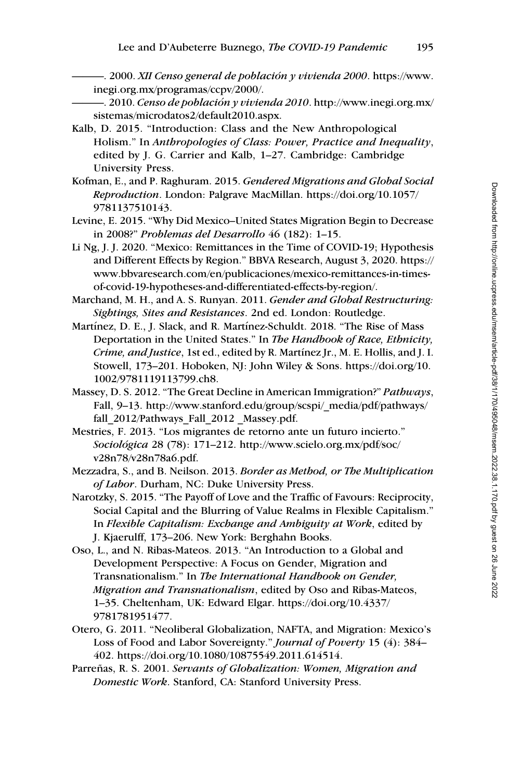- 2000. XII Censo general de población y vivienda 2000. [https://www.](https://www.inegi.org.mx/programas/ccpv/2000/) [inegi.org.mx/programas/ccpv/2000/.](https://www.inegi.org.mx/programas/ccpv/2000/)

- $\sim$  2010. Censo de población y vivienda 2010. [http://www.inegi.org.mx/](http://www.inegi.org.mx/sistemas/microdatos2/default2010.aspx) [sistemas/microdatos2/default2010.aspx.](http://www.inegi.org.mx/sistemas/microdatos2/default2010.aspx)
- Kalb, D. 2015. "Introduction: Class and the New Anthropological Holism." In Anthropologies of Class: Power, Practice and Inequality, edited by J. G. Carrier and Kalb, 1–27. Cambridge: Cambridge University Press.
- Kofman, E., and P. Raghuram. 2015. Gendered Migrations and Global Social Reproduction. London: Palgrave MacMillan. [https://doi.org/10.1057/](https://doi.org/10.1057/9781137510143) [9781137510143.](https://doi.org/10.1057/9781137510143)
- Levine, E. 2015. "Why Did Mexico–United States Migration Begin to Decrease in 2008?" Problemas del Desarrollo 46 (182): 1–15.
- Li Ng, J. J. 2020. "Mexico: Remittances in the Time of COVID-19; Hypothesis and Different Effects by Region." BBVA Research, August 3, 2020. [https://](https://www.bbvaresearch.com/en/publicaciones/mexico-remittances-in-times-of-covid-19-hypotheses-and-differentiated-effects-by-region/) [www.bbvaresearch.com/en/publicaciones/mexico-remittances-in-times](https://www.bbvaresearch.com/en/publicaciones/mexico-remittances-in-times-of-covid-19-hypotheses-and-differentiated-effects-by-region/)[of-covid-19-hypotheses-and-differentiated-effects-by-region/.](https://www.bbvaresearch.com/en/publicaciones/mexico-remittances-in-times-of-covid-19-hypotheses-and-differentiated-effects-by-region/)
- Marchand, M. H., and A. S. Runyan. 2011. Gender and Global Restructuring: Sightings, Sites and Resistances. 2nd ed. London: Routledge.
- Martínez, D. E., J. Slack, and R. Martínez-Schuldt. 2018. "The Rise of Mass Deportation in the United States." In The Handbook of Race, Ethnicity, Crime, and Justice, 1st ed., edited by R. Martínez Jr., M. E. Hollis, and J. I. Stowell, 173–201. Hoboken, NJ: John Wiley & Sons. [https://doi.org/10.](https://doi.org/10.1002/9781119113799.ch8) [1002/9781119113799.ch8](https://doi.org/10.1002/9781119113799.ch8).
- Massey, D. S. 2012. "The Great Decline in American Immigration?" Pathways, Fall, 9–13. [http://www.stanford.edu/group/scspi/\\_media/pdf/pathways/](http://www.stanford.edu/group/scspi/_media/pdf/pathways/fall_2012/Pathways_Fall_2012 _Massey.pdf) fall 2012/Pathways Fall 2012 Massey.pdf.
- Mestries, F. 2013. "Los migrantes de retorno ante un futuro incierto." Sociológica 28 (78): 171-212. [http://www.scielo.org.mx/pdf/soc/](http://www.scielo.org.mx/pdf/soc/v28n78/v28n78a6.pdf) [v28n78/v28n78a6.pdf.](http://www.scielo.org.mx/pdf/soc/v28n78/v28n78a6.pdf)
- Mezzadra, S., and B. Neilson. 2013. Border as Method, or The Multiplication of Labor. Durham, NC: Duke University Press.
- Narotzky, S. 2015. "The Payoff of Love and the Traffic of Favours: Reciprocity, Social Capital and the Blurring of Value Realms in Flexible Capitalism." In Flexible Capitalism: Exchange and Ambiguity at Work, edited by J. Kjaerulff, 173–206. New York: Berghahn Books.
- Oso, L., and N. Ribas-Mateos. 2013. "An Introduction to a Global and Development Perspective: A Focus on Gender, Migration and Transnationalism." In The International Handbook on Gender, Migration and Transnationalism, edited by Oso and Ribas-Mateos, 1–35. Cheltenham, UK: Edward Elgar. [https://doi.org/10.4337/](https://doi.org/10.4337/9781781951477) [9781781951477.](https://doi.org/10.4337/9781781951477)
- Otero, G. 2011. "Neoliberal Globalization, NAFTA, and Migration: Mexico's Loss of Food and Labor Sovereignty." *Journal of Poverty* 15 (4): 384– 402. [https://doi.org/10.1080/10875549.2011.614514.](https://doi.org/10.1080/10875549.2011.614514)
- Parreñas, R. S. 2001. Servants of Globalization: Women, Migration and Domestic Work. Stanford, CA: Stanford University Press.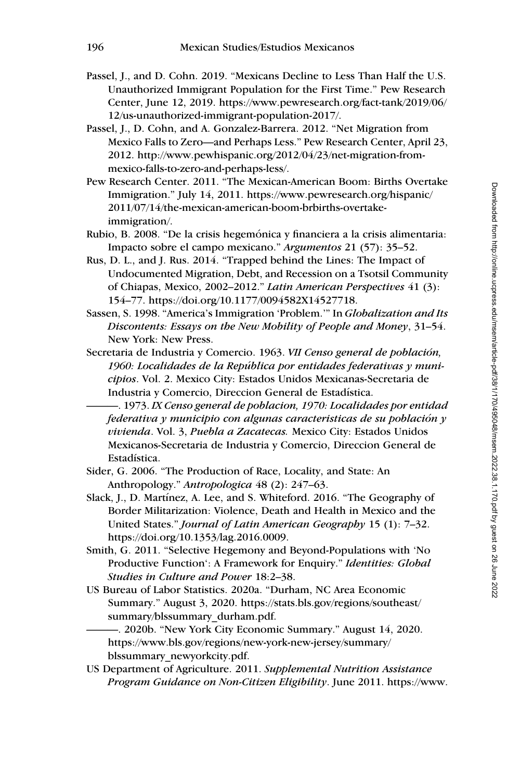- Passel, J., and D. Cohn. 2019. "Mexicans Decline to Less Than Half the U.S. Unauthorized Immigrant Population for the First Time." Pew Research Center, June 12, 2019. [https://www.pewresearch.org/fact-tank/2019/06/](https://www.pewresearch.org/fact-tank/2019/06/12/us-unauthorized-immigrant-population-2017/) [12/us-unauthorized-immigrant-population-2017/](https://www.pewresearch.org/fact-tank/2019/06/12/us-unauthorized-immigrant-population-2017/).
- Passel, J., D. Cohn, and A. Gonzalez-Barrera. 2012. "Net Migration from Mexico Falls to Zero—and Perhaps Less." Pew Research Center, April 23, 2012. [http://www.pewhispanic.org/2012/04/23/net-migration-from](http://www.pewhispanic.org/2012/04/23/net-migration-from-mexico-falls-to-zero-and-perhaps-less/)[mexico-falls-to-zero-and-perhaps-less/.](http://www.pewhispanic.org/2012/04/23/net-migration-from-mexico-falls-to-zero-and-perhaps-less/)
- Pew Research Center. 2011. "The Mexican-American Boom: Births Overtake Immigration." July 14, 2011. [https://www.pewresearch.org/hispanic/](https://www.pewresearch.org/hispanic/2011/07/14/the-mexican-american-boom-brbirths-overtake-immigration/) [2011/07/14/the-mexican-american-boom-brbirths-overtake](https://www.pewresearch.org/hispanic/2011/07/14/the-mexican-american-boom-brbirths-overtake-immigration/)[immigration/](https://www.pewresearch.org/hispanic/2011/07/14/the-mexican-american-boom-brbirths-overtake-immigration/).
- Rubio, B. 2008. "De la crisis hegemónica y financiera a la crisis alimentaria: Impacto sobre el campo mexicano." Argumentos 21 (57): 35–52.
- Rus, D. L., and J. Rus. 2014. "Trapped behind the Lines: The Impact of Undocumented Migration, Debt, and Recession on a Tsotsil Community of Chiapas, Mexico, 2002–2012." Latin American Perspectives 41 (3): 154–77. [https://doi.org/10.1177/0094582X14527718.](https://doi.org/10.1177/0094582X14527718)
- Sassen, S. 1998. "America's Immigration 'Problem.'" In Globalization and Its Discontents: Essays on the New Mobility of People and Money, 31–54. New York: New Press.
- Secretaria de Industria y Comercio. 1963. VII Censo general de población, 1960: Localidades de la República por entidades federativas  $y$  municipios. Vol. 2. Mexico City: Estados Unidos Mexicanas-Secretaria de Industria y Comercio, Direccion General de Estadística.

-. 1973. IX Censo general de poblacion, 1970: Localidades por entidad federativa y municipio con algunas caracteristicas de su población y vivienda. Vol. 3, Puebla a Zacatecas. Mexico City: Estados Unidos Mexicanos-Secretaria de Industria y Comercio, Direccion General de Estadística.

- Sider, G. 2006. "The Production of Race, Locality, and State: An Anthropology." Antropologica 48 (2): 247–63.
- Slack, J., D. Martínez, A. Lee, and S. Whiteford. 2016. "The Geography of Border Militarization: Violence, Death and Health in Mexico and the United States." Journal of Latin American Geography 15 (1): 7–32. [https://doi.org/10.1353/lag.2016.0009.](https://doi.org/10.1353/lag.2016.0009)
- Smith, G. 2011. "Selective Hegemony and Beyond-Populations with 'No Productive Function': A Framework for Enquiry." Identities: Global Studies in Culture and Power 18:2–38.
- US Bureau of Labor Statistics. 2020a. "Durham, NC Area Economic Summary." August 3, 2020. [https://stats.bls.gov/regions/southeast/](https://stats.bls.gov/regions/southeast/summary/blssummary_durham.pdf) [summary/blssummary\\_durham.pdf](https://stats.bls.gov/regions/southeast/summary/blssummary_durham.pdf).

———. 2020b. "New York City Economic Summary." August 14, 2020. [https://www.bls.gov/regions/new-york-new-jersey/summary/](https://www.bls.gov/regions/new-york-new-jersey/summary/blssummary_newyorkcity.pdf) [blssummary\\_newyorkcity.pdf.](https://www.bls.gov/regions/new-york-new-jersey/summary/blssummary_newyorkcity.pdf)

US Department of Agriculture. 2011. Supplemental Nutrition Assistance Program Guidance on Non-Citizen Eligibility. June 2011. [https://www.](https://www.nilc.org/wp-content/uploads/2019/05/Non-Citizen_Guidance_063011.pdf)